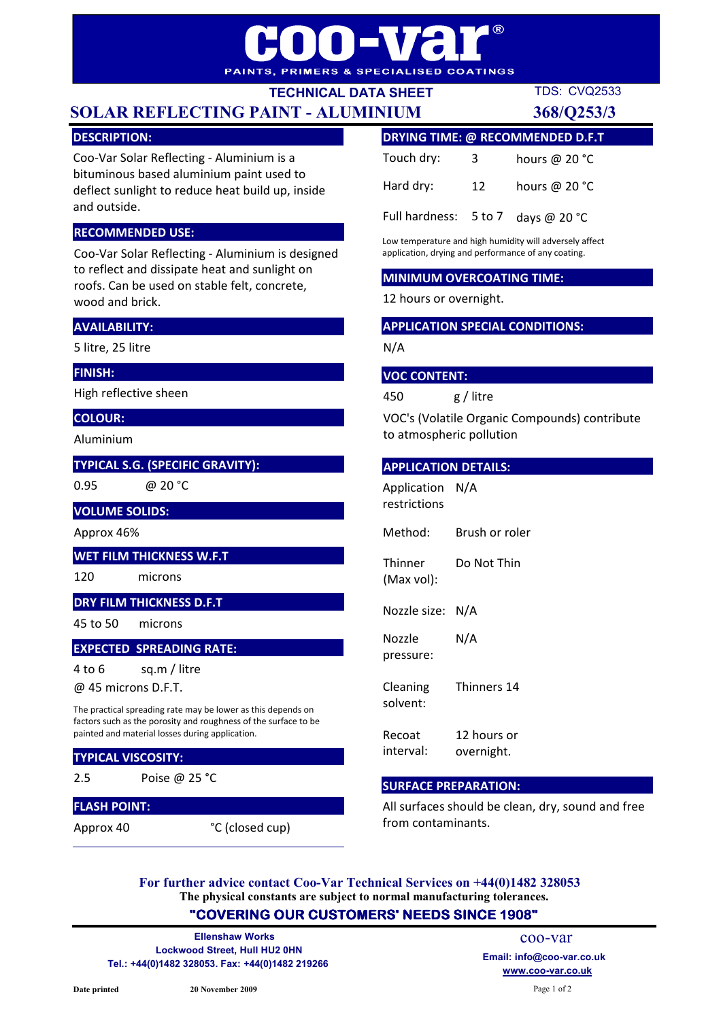# $\overline{R}$ HE L PAINTS, PRIMERS & SPECIALISED COATINGS

TECHNICAL DATA SHEET

# SOLAR REFLECTING PAINT - ALUMINIUM 368/Q253/3

TDS: CVQ2533

# DESCRIPTION:

Coo-Var Solar Reflecting - Aluminium is a bituminous based aluminium paint used to deflect sunlight to reduce heat build up, inside and outside.

# RECOMMENDED USE:

Coo-Var Solar Reflecting - Aluminium is designed to reflect and dissipate heat and sunlight on roofs. Can be used on stable felt, concrete, wood and brick.

# AVAILABILITY:

5 litre, 25 litre

### FINISH:

High reflective sheen

# COLOUR:

Aluminium

### TYPICAL S.G. (SPECIFIC GRAVITY):

0.95

@ 20 °C

#### VOLUME SOLIDS:

Approx 46%

### WET FILM THICKNESS W.F.T

120 microns

## DRY FILM THICKNESS D.F.T

45 to 50 microns

### EXPECTED SPREADING RATE:

4 to 6 sq.m / litre

@ 45 microns D.F.T.

The practical spreading rate may be lower as this depends on factors such as the porosity and roughness of the surface to be painted and material losses during application.

### TYPICAL VISCOSITY:

2.5

# Poise @ 25 °C

FLASH POINT:

Approx 40

°C (closed cup)

| <b>DRYING TIME: @ RECOMMENDED D.F.T</b> |    |                 |
|-----------------------------------------|----|-----------------|
| Touch dry:                              | 3. | hours @ 20 °C   |
| Hard dry:                               | 12 | hours @ $20 °C$ |
| Full hardness: 5 to 7                   |    | days @ $20 °C$  |

Low temperature and high humidity will adversely affect application, drying and performance of any coating.

### MINIMUM OVERCOATING TIME:

12 hours or overnight.

#### APPLICATION SPECIAL CONDITIONS:

N/A

#### VOC CONTENT:

450 g / litre

VOC's (Volatile Organic Compounds) contribute to atmospheric pollution

#### APPLICATION DETAILS:

Method: Brush or roler **Thinner** (Max vol): Do Not Thin Nozzle size: N/A Nozzle pressure: N/A Cleaning solvent: Thinners 14 Recoat 12 hours or Application N/A restrictions

interval: overnight.

### SURFACE PREPARATION:

All surfaces should be clean, dry, sound and free from contaminants.

The physical constants are subject to normal manufacturing tolerances. For further advice contact Coo-Var Technical Services on +44(0)1482 328053

# "COVERING OUR CUSTOMERS' NEEDS SINCE 1908"

Lockwood Street, Hull HU2 0HN Tel.: +44(0)1482 328053. Fax: +44(0)1482 219266 Ellenshaw Works

www.coo-var.co.uk coo-var Email: info@coo-var.co.uk

Page 1 of 2